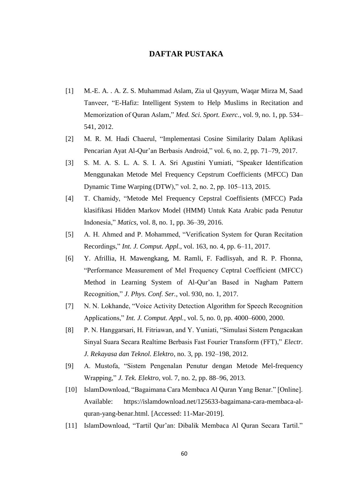## **DAFTAR PUSTAKA**

- [1] M.-E. A. . A. Z. S. Muhammad Aslam, Zia ul Qayyum, Waqar Mirza M, Saad Tanveer, "E-Hafiz: Intelligent System to Help Muslims in Recitation and Memorization of Quran Aslam," *Med. Sci. Sport. Exerc.*, vol. 9, no. 1, pp. 534– 541, 2012.
- [2] M. R. M. Hadi Chaerul, "Implementasi Cosine Similarity Dalam Aplikasi Pencarian Ayat Al-Qur'an Berbasis Android," vol. 6, no. 2, pp. 71–79, 2017.
- [3] S. M. A. S. L. A. S. I. A. Sri Agustini Yumiati, "Speaker Identification Menggunakan Metode Mel Frequency Cepstrum Coefficients (MFCC) Dan Dynamic Time Warping (DTW)," vol. 2, no. 2, pp. 105–113, 2015.
- [4] T. Chamidy, "Metode Mel Frequency Cepstral Coeffisients (MFCC) Pada klasifikasi Hidden Markov Model (HMM) Untuk Kata Arabic pada Penutur Indonesia," *Matics*, vol. 8, no. 1, pp. 36–39, 2016.
- [5] A. H. Ahmed and P. Mohammed, "Verification System for Quran Recitation Recordings," *Int. J. Comput. Appl.*, vol. 163, no. 4, pp. 6–11, 2017.
- [6] Y. Afrillia, H. Mawengkang, M. Ramli, F. Fadlisyah, and R. P. Fhonna, "Performance Measurement of Mel Frequency Ceptral Coefficient (MFCC) Method in Learning System of Al-Qur'an Based in Nagham Pattern Recognition," *J. Phys. Conf. Ser.*, vol. 930, no. 1, 2017.
- [7] N. N. Lokhande, "Voice Activity Detection Algorithm for Speech Recognition Applications," *Int. J. Comput. Appl.*, vol. 5, no. 0, pp. 4000–6000, 2000.
- [8] P. N. Hanggarsari, H. Fitriawan, and Y. Yuniati, "Simulasi Sistem Pengacakan Sinyal Suara Secara Realtime Berbasis Fast Fourier Transform (FFT)," *Electr. J. Rekayasa dan Teknol. Elektro*, no. 3, pp. 192–198, 2012.
- [9] A. Mustofa, "Sistem Pengenalan Penutur dengan Metode Mel-frequency Wrapping," *J. Tek. Elektro*, vol. 7, no. 2, pp. 88–96, 2013.
- [10] IslamDownload, "Bagaimana Cara Membaca Al Quran Yang Benar." [Online]. Available: https://islamdownload.net/125633-bagaimana-cara-membaca-alquran-yang-benar.html. [Accessed: 11-Mar-2019].
- [11] IslamDownload, "Tartil Qur'an: Dibalik Membaca Al Quran Secara Tartil."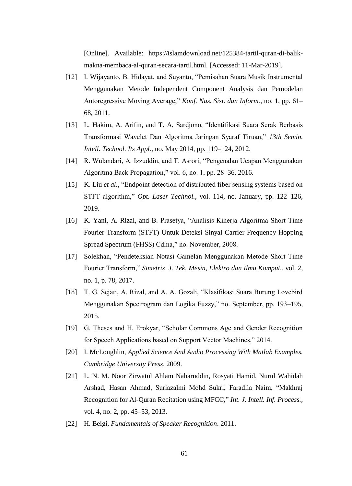[Online]. Available: https://islamdownload.net/125384-tartil-quran-di-balikmakna-membaca-al-quran-secara-tartil.html. [Accessed: 11-Mar-2019].

- [12] I. Wijayanto, B. Hidayat, and Suyanto, "Pemisahan Suara Musik Instrumental Menggunakan Metode Independent Component Analysis dan Pemodelan Autoregressive Moving Average," *Konf. Nas. Sist. dan Inform.*, no. 1, pp. 61– 68, 2011.
- [13] L. Hakim, A. Arifin, and T. A. Sardjono, "Identifikasi Suara Serak Berbasis Transformasi Wavelet Dan Algoritma Jaringan Syaraf Tiruan," *13th Semin. Intell. Technol. Its Appl.*, no. May 2014, pp. 119–124, 2012.
- [14] R. Wulandari, A. Izzuddin, and T. Asrori, "Pengenalan Ucapan Menggunakan Algoritma Back Propagation," vol. 6, no. 1, pp. 28–36, 2016.
- [15] K. Liu *et al.*, "Endpoint detection of distributed fiber sensing systems based on STFT algorithm," *Opt. Laser Technol.*, vol. 114, no. January, pp. 122–126, 2019.
- [16] K. Yani, A. Rizal, and B. Prasetya, "Analisis Kinerja Algoritma Short Time Fourier Transform (STFT) Untuk Deteksi Sinyal Carrier Frequency Hopping Spread Spectrum (FHSS) Cdma," no. November, 2008.
- [17] Solekhan, "Pendeteksian Notasi Gamelan Menggunakan Metode Short Time Fourier Transform," *Simetris J. Tek. Mesin, Elektro dan Ilmu Komput.*, vol. 2, no. 1, p. 78, 2017.
- [18] T. G. Sejati, A. Rizal, and A. A. Gozali, "Klasifikasi Suara Burung Lovebird Menggunakan Spectrogram dan Logika Fuzzy," no. September, pp. 193–195, 2015.
- [19] G. Theses and H. Erokyar, "Scholar Commons Age and Gender Recognition for Speech Applications based on Support Vector Machines," 2014.
- [20] I. McLoughlin, *Applied Science And Audio Processing With Matlab Examples. Cambridge University Press*. 2009.
- [21] L. N. M. Noor Zirwatul Ahlam Naharuddin, Rosyati Hamid, Nurul Wahidah Arshad, Hasan Ahmad, Suriazalmi Mohd Sukri, Faradila Naim, "Makhraj Recognition for Al-Quran Recitation using MFCC," *Int. J. Intell. Inf. Process.*, vol. 4, no. 2, pp. 45–53, 2013.
- [22] H. Beigi, *Fundamentals of Speaker Recognition*. 2011.